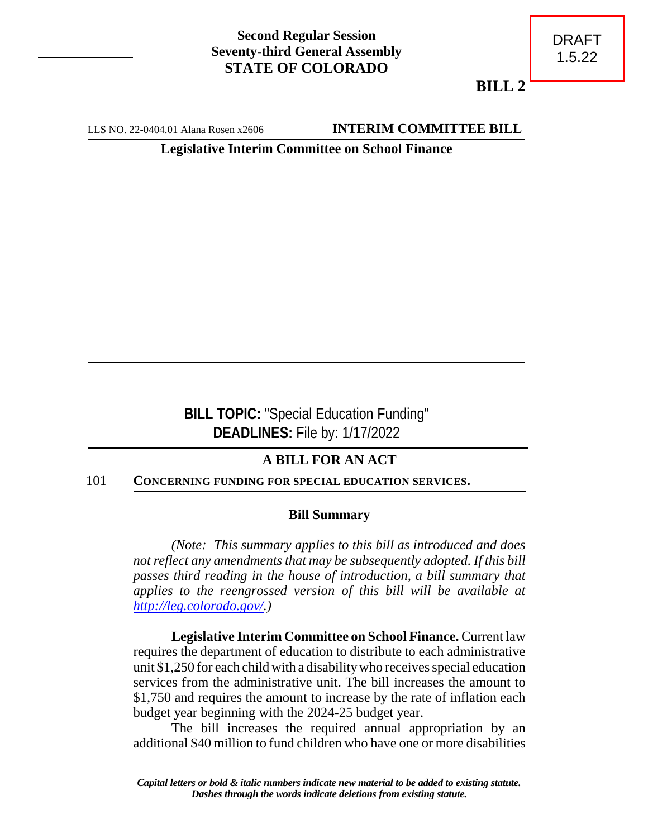## **Second Regular Session Seventy-third General Assembly STATE OF COLORADO**

**BILL 2**

LLS NO. 22-0404.01 Alana Rosen x2606 **INTERIM COMMITTEE BILL** 

**Legislative Interim Committee on School Finance**

**BILL TOPIC:** "Special Education Funding" **DEADLINES:** File by: 1/17/2022

# **A BILL FOR AN ACT**

#### 101 **CONCERNING FUNDING FOR SPECIAL EDUCATION SERVICES.**

#### **Bill Summary**

*(Note: This summary applies to this bill as introduced and does not reflect any amendments that may be subsequently adopted. If this bill passes third reading in the house of introduction, a bill summary that applies to the reengrossed version of this bill will be available at <http://leg.colorado.gov/>.)*

**Legislative Interim Committee on School Finance.** Current law requires the department of education to distribute to each administrative unit \$1,250 for each child with a disabilitywho receives special education services from the administrative unit. The bill increases the amount to \$1,750 and requires the amount to increase by the rate of inflation each budget year beginning with the 2024-25 budget year.

The bill increases the required annual appropriation by an additional \$40 million to fund children who have one or more disabilities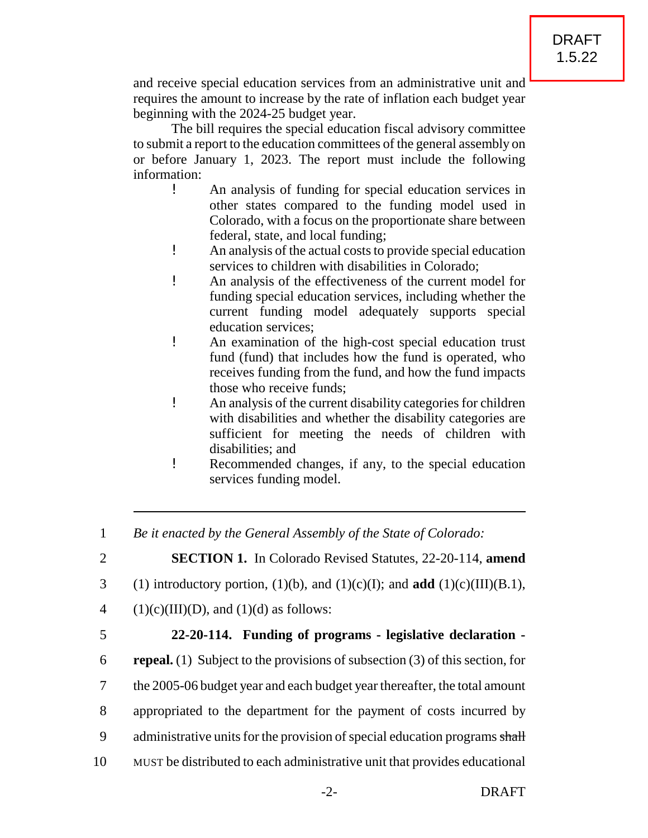and receive special education services from an administrative unit and requires the amount to increase by the rate of inflation each budget year beginning with the 2024-25 budget year.

The bill requires the special education fiscal advisory committee to submit a report to the education committees of the general assembly on or before January 1, 2023. The report must include the following information:

- ! An analysis of funding for special education services in other states compared to the funding model used in Colorado, with a focus on the proportionate share between federal, state, and local funding;
- ! An analysis of the actual costs to provide special education services to children with disabilities in Colorado;
- ! An analysis of the effectiveness of the current model for funding special education services, including whether the current funding model adequately supports special education services;
- ! An examination of the high-cost special education trust fund (fund) that includes how the fund is operated, who receives funding from the fund, and how the fund impacts those who receive funds;
- ! An analysis of the current disability categories for children with disabilities and whether the disability categories are sufficient for meeting the needs of children with disabilities; and
- ! Recommended changes, if any, to the special education services funding model.

1 *Be it enacted by the General Assembly of the State of Colorado:*

2 **SECTION 1.** In Colorado Revised Statutes, 22-20-114, **amend**

- 3 (1) introductory portion, (1)(b), and (1)(c)(I); and **add** (1)(c)(III)(B.1),
- 4 (1)(c)(III)(D), and (1)(d) as follows:
- 

### 5 **22-20-114. Funding of programs - legislative declaration -**

 **repeal.** (1) Subject to the provisions of subsection (3) of this section, for the 2005-06 budget year and each budget year thereafter, the total amount appropriated to the department for the payment of costs incurred by 9 administrative units for the provision of special education programs shall MUST be distributed to each administrative unit that provides educational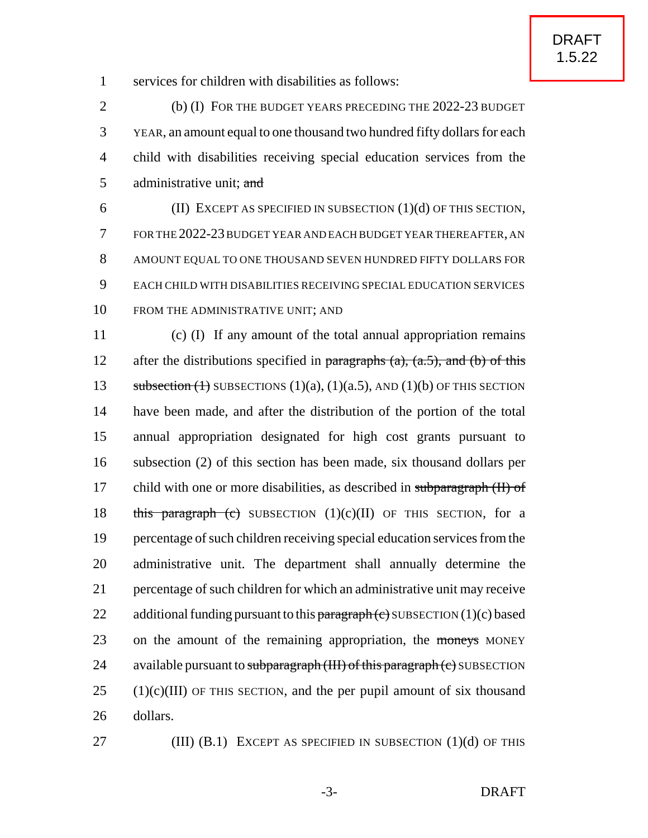1 services for children with disabilities as follows:

 (b) (I) FOR THE BUDGET YEARS PRECEDING THE 2022-23 BUDGET YEAR, an amount equal to one thousand two hundred fifty dollars for each child with disabilities receiving special education services from the 5 administrative unit; and

 (II) EXCEPT AS SPECIFIED IN SUBSECTION (1)(d) OF THIS SECTION, FOR THE 2022-23BUDGET YEAR AND EACH BUDGET YEARTHEREAFTER, AN AMOUNT EQUAL TO ONE THOUSAND SEVEN HUNDRED FIFTY DOLLARS FOR EACH CHILD WITH DISABILITIES RECEIVING SPECIAL EDUCATION SERVICES 10 FROM THE ADMINISTRATIVE UNIT: AND

11 (c) (I) If any amount of the total annual appropriation remains 12 after the distributions specified in paragraphs  $(a)$ ,  $(a.5)$ , and  $(b)$  of this 13 subsection  $(1)$  SUBSECTIONS  $(1)(a)$ ,  $(1)(a.5)$ , AND  $(1)(b)$  OF THIS SECTION 14 have been made, and after the distribution of the portion of the total 15 annual appropriation designated for high cost grants pursuant to 16 subsection (2) of this section has been made, six thousand dollars per 17 child with one or more disabilities, as described in subparagraph (II) of 18 this paragraph (c) SUBSECTION  $(1)(c)(II)$  OF THIS SECTION, for a 19 percentage of such children receiving special education services from the 20 administrative unit. The department shall annually determine the 21 percentage of such children for which an administrative unit may receive 22 additional funding pursuant to this paragraph  $(e)$  SUBSECTION  $(1)(c)$  based 23 on the amount of the remaining appropriation, the moneys MONEY 24 available pursuant to subparagraph  $(HH)$  of this paragraph  $(c)$  SUBSECTION  $25$  (1)(c)(III) OF THIS SECTION, and the per pupil amount of six thousand 26 dollars.

27 **(III) (B.1)** EXCEPT AS SPECIFIED IN SUBSECTION (1)(d) OF THIS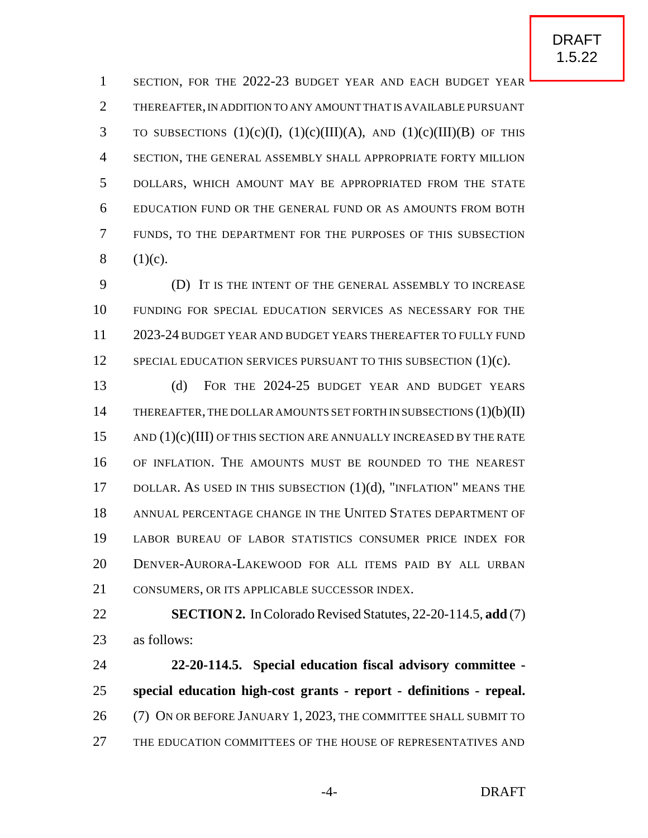SECTION, FOR THE 2022-23 BUDGET YEAR AND EACH BUDGET YEAR THEREAFTER,IN ADDITION TO ANY AMOUNT THAT IS AVAILABLE PURSUANT 3 TO SUBSECTIONS  $(1)(c)(I)$ ,  $(1)(c)(III)(A)$ , AND  $(1)(c)(III)(B)$  OF THIS SECTION, THE GENERAL ASSEMBLY SHALL APPROPRIATE FORTY MILLION DOLLARS, WHICH AMOUNT MAY BE APPROPRIATED FROM THE STATE EDUCATION FUND OR THE GENERAL FUND OR AS AMOUNTS FROM BOTH FUNDS, TO THE DEPARTMENT FOR THE PURPOSES OF THIS SUBSECTION 8  $(1)(c)$ .

 (D) IT IS THE INTENT OF THE GENERAL ASSEMBLY TO INCREASE FUNDING FOR SPECIAL EDUCATION SERVICES AS NECESSARY FOR THE 2023-24 BUDGET YEAR AND BUDGET YEARS THEREAFTER TO FULLY FUND 12 SPECIAL EDUCATION SERVICES PURSUANT TO THIS SUBSECTION (1)(c).

 (d) FOR THE 2024-25 BUDGET YEAR AND BUDGET YEARS 14 THEREAFTER, THE DOLLAR AMOUNTS SET FORTH IN SUBSECTIONS (1)(b)(II) 15 AND (1)(c)(III) OF THIS SECTION ARE ANNUALLY INCREASED BY THE RATE OF INFLATION. THE AMOUNTS MUST BE ROUNDED TO THE NEAREST 17 DOLLAR. AS USED IN THIS SUBSECTION  $(1)(d)$ , "INFLATION" MEANS THE ANNUAL PERCENTAGE CHANGE IN THE UNITED STATES DEPARTMENT OF LABOR BUREAU OF LABOR STATISTICS CONSUMER PRICE INDEX FOR DENVER-AURORA-LAKEWOOD FOR ALL ITEMS PAID BY ALL URBAN 21 CONSUMERS, OR ITS APPLICABLE SUCCESSOR INDEX.

 **SECTION 2.** In Colorado Revised Statutes, 22-20-114.5, **add** (7) as follows:

 **22-20-114.5. Special education fiscal advisory committee - special education high-cost grants - report - definitions - repeal.** (7) ON OR BEFORE JANUARY 1, 2023, THE COMMITTEE SHALL SUBMIT TO THE EDUCATION COMMITTEES OF THE HOUSE OF REPRESENTATIVES AND